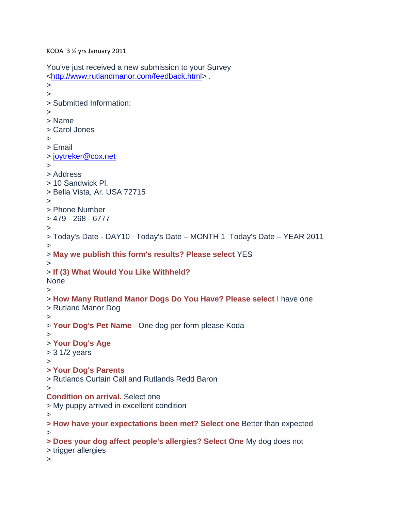KODA 3 ½ yrs January 2011

You've just received a new submission to your Survey [<http://www.rutlandmanor.com/feedback.html>](http://www.rutlandmanor.com/feedback.html) . > > > Submitted Information: > > Name > Carol Jones > > Email > [joytreker@cox.net](mailto:joytreker@cox.net) > > Address > 10 Sandwick Pl. > Bella Vista, Ar. USA 72715 > > Phone Number > 479 - 268 - 6777 > > Today's Date - DAY10 Today's Date – MONTH 1 Today's Date – YEAR 2011 > > **May we publish this form's results? Please select** YES > > **If (3) What Would You Like Withheld?** None > > **How Many Rutland Manor Dogs Do You Have? Please select** I have one > Rutland Manor Dog > > **Your Dog's Pet Name** - One dog per form please Koda > > **Your Dog's Age** > 3 1/2 years > **> Your Dog's Parents** > Rutlands Curtain Call and Rutlands Redd Baron > **Condition on arrival.** Select one > My puppy arrived in excellent condition > **> How have your expectations been met? Select one** Better than expected > **> Does your dog affect people's allergies? Select One** My dog does not > trigger allergies >